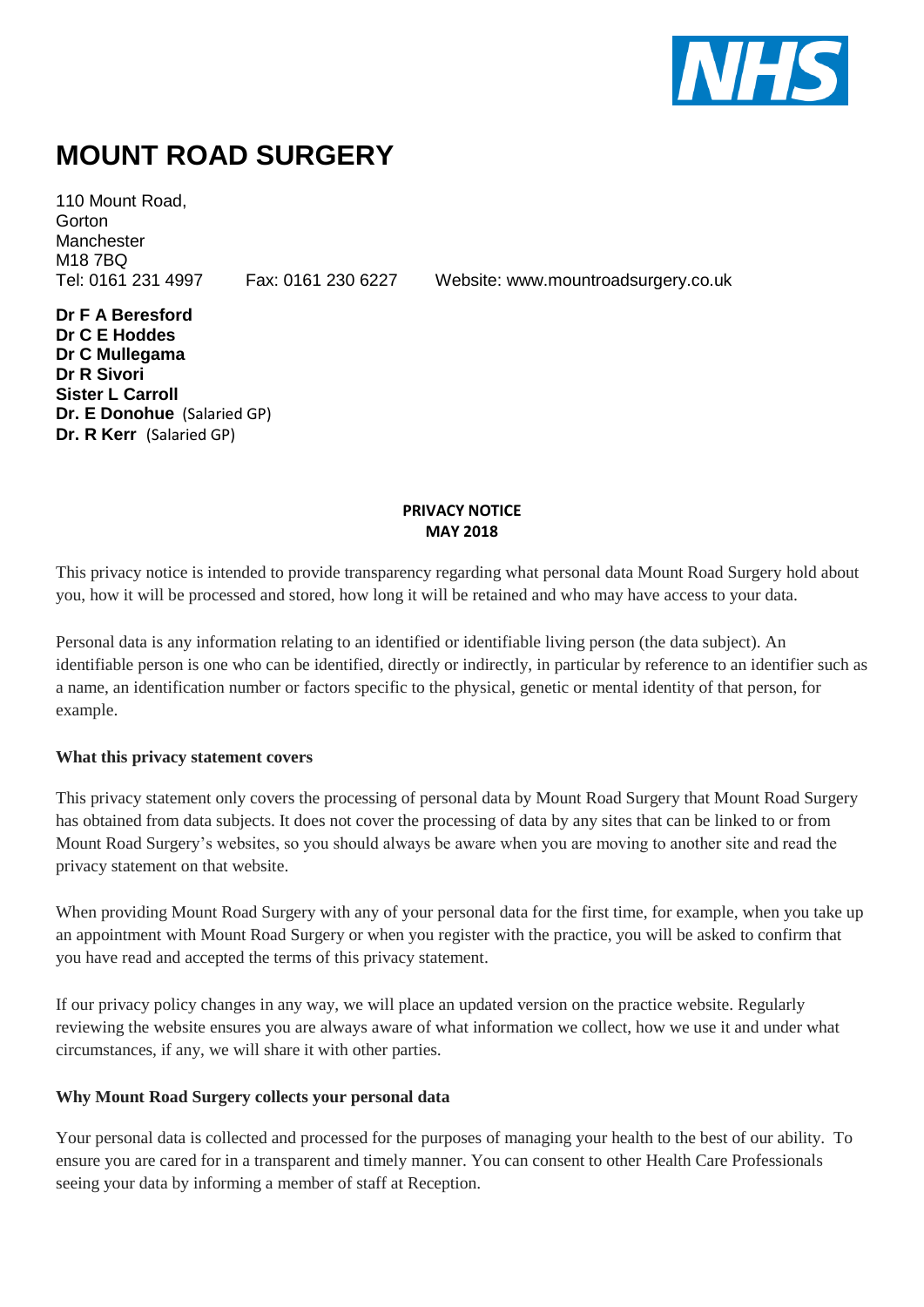

# **MOUNT ROAD SURGERY**

110 Mount Road, **Gorton Manchester** M18 7BQ

Tel: 0161 231 4997 Fax: 0161 230 6227 Website: www.mountroadsurgery.co.uk

**Dr F A Beresford Dr C E Hoddes Dr C Mullegama Dr R Sivori Sister L Carroll Dr. E Donohue** (Salaried GP) **Dr. R Kerr** (Salaried GP)

#### **PRIVACY NOTICE MAY 2018**

This privacy notice is intended to provide transparency regarding what personal data Mount Road Surgery hold about you, how it will be processed and stored, how long it will be retained and who may have access to your data.

Personal data is any information relating to an identified or identifiable living person (the data subject). An identifiable person is one who can be identified, directly or indirectly, in particular by reference to an identifier such as a name, an identification number or factors specific to the physical, genetic or mental identity of that person, for example.

### **What this privacy statement covers**

This privacy statement only covers the processing of personal data by Mount Road Surgery that Mount Road Surgery has obtained from data subjects. It does not cover the processing of data by any sites that can be linked to or from Mount Road Surgery's websites, so you should always be aware when you are moving to another site and read the privacy statement on that website.

When providing Mount Road Surgery with any of your personal data for the first time, for example, when you take up an appointment with Mount Road Surgery or when you register with the practice, you will be asked to confirm that you have read and accepted the terms of this privacy statement.

If our privacy policy changes in any way, we will place an updated version on the practice website. Regularly reviewing the website ensures you are always aware of what information we collect, how we use it and under what circumstances, if any, we will share it with other parties.

#### **Why Mount Road Surgery collects your personal data**

Your personal data is collected and processed for the purposes of managing your health to the best of our ability. To ensure you are cared for in a transparent and timely manner. You can consent to other Health Care Professionals seeing your data by informing a member of staff at Reception.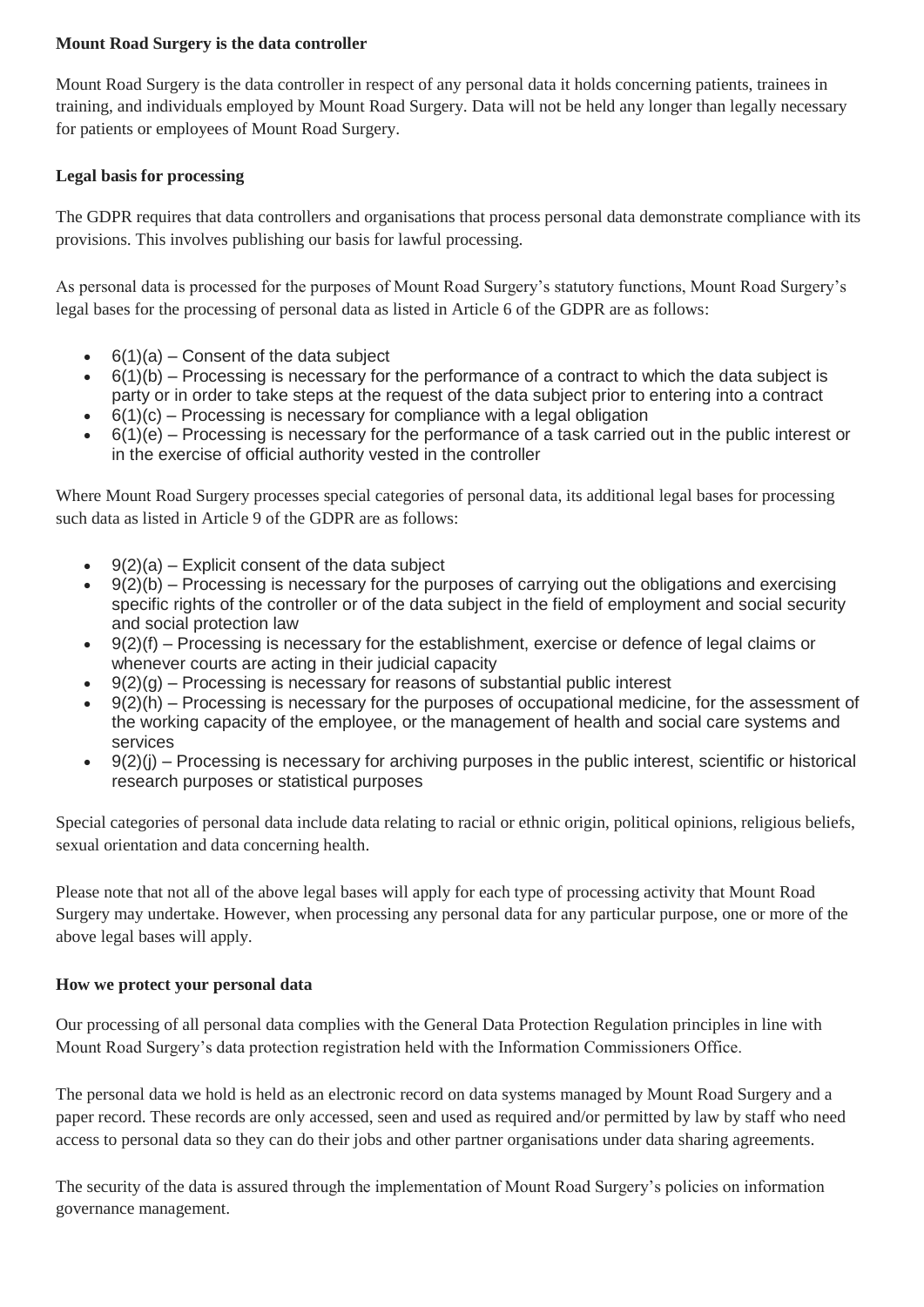# **Mount Road Surgery is the data controller**

Mount Road Surgery is the data controller in respect of any personal data it holds concerning patients, trainees in training, and individuals employed by Mount Road Surgery. Data will not be held any longer than legally necessary for patients or employees of Mount Road Surgery.

# **Legal basis for processing**

The GDPR requires that data controllers and organisations that process personal data demonstrate compliance with its provisions. This involves publishing our basis for lawful processing.

As personal data is processed for the purposes of Mount Road Surgery's statutory functions, Mount Road Surgery's legal bases for the processing of personal data as listed in Article 6 of the GDPR are as follows:

- $6(1)(a)$  Consent of the data subject
- $\bullet$  6(1)(b) Processing is necessary for the performance of a contract to which the data subject is party or in order to take steps at the request of the data subject prior to entering into a contract
- $6(1)(c)$  Processing is necessary for compliance with a legal obligation
- 6(1)(e) Processing is necessary for the performance of a task carried out in the public interest or in the exercise of official authority vested in the controller

Where Mount Road Surgery processes special categories of personal data, its additional legal bases for processing such data as listed in Article 9 of the GDPR are as follows:

- 9(2)(a) Explicit consent of the data subject
- 9(2)(b) Processing is necessary for the purposes of carrying out the obligations and exercising specific rights of the controller or of the data subject in the field of employment and social security and social protection law
- 9(2)(f) Processing is necessary for the establishment, exercise or defence of legal claims or whenever courts are acting in their judicial capacity
- $9(2)(q)$  Processing is necessary for reasons of substantial public interest
- 9(2)(h) Processing is necessary for the purposes of occupational medicine, for the assessment of the working capacity of the employee, or the management of health and social care systems and services
- 9(2)(j) Processing is necessary for archiving purposes in the public interest, scientific or historical research purposes or statistical purposes

Special categories of personal data include data relating to racial or ethnic origin, political opinions, religious beliefs, sexual orientation and data concerning health.

Please note that not all of the above legal bases will apply for each type of processing activity that Mount Road Surgery may undertake. However, when processing any personal data for any particular purpose, one or more of the above legal bases will apply.

### **How we protect your personal data**

Our processing of all personal data complies with the General Data Protection Regulation principles in line with Mount Road Surgery's data protection registration held with the Information Commissioners Office.

The personal data we hold is held as an electronic record on data systems managed by Mount Road Surgery and a paper record. These records are only accessed, seen and used as required and/or permitted by law by staff who need access to personal data so they can do their jobs and other partner organisations under data sharing agreements.

The security of the data is assured through the implementation of Mount Road Surgery's policies on information governance management.